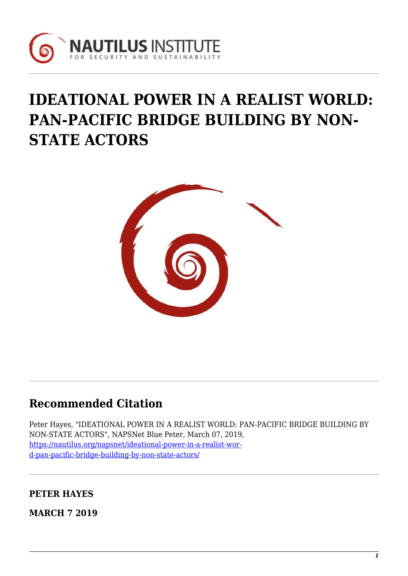

# **IDEATIONAL POWER IN A REALIST WORLD: PAN-PACIFIC BRIDGE BUILDING BY NON-STATE ACTORS**



# **Recommended Citation**

Peter Hayes, "IDEATIONAL POWER IN A REALIST WORLD: PAN-PACIFIC BRIDGE BUILDING BY NON-STATE ACTORS", NAPSNet Blue Peter, March 07, 2019, [https://nautilus.org/napsnet/ideational-power-in-a-realist-wor](https://nautilus.org/napsnet/ideational-power-in-a-realist-world-pan-pacific-bridge-building-by-non-state-actors/)[d-pan-pacific-bridge-building-by-non-state-actors/](https://nautilus.org/napsnet/ideational-power-in-a-realist-world-pan-pacific-bridge-building-by-non-state-actors/)

**PETER HAYES**

**MARCH 7 2019**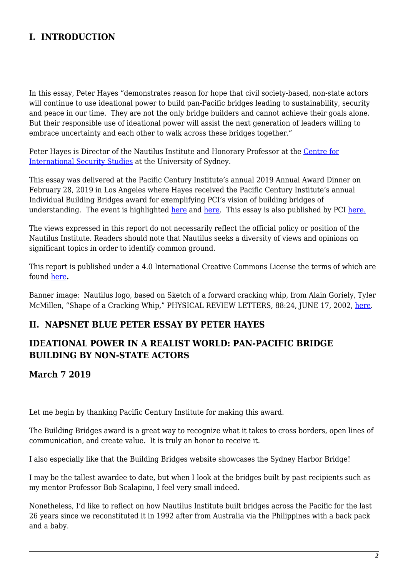# **I. INTRODUCTION**

In this essay, Peter Hayes "demonstrates reason for hope that civil society-based, non-state actors will continue to use ideational power to build pan-Pacific bridges leading to sustainability, security and peace in our time. They are not the only bridge builders and cannot achieve their goals alone. But their responsible use of ideational power will assist the next generation of leaders willing to embrace uncertainty and each other to walk across these bridges together."

Peter Hayes is Director of the Nautilus Institute and Honorary Professor at the [Centre for](http://sydney.edu.au/arts/ciss/) [International Security Studies](http://sydney.edu.au/arts/ciss/) at the University of Sydney.

This essay was delivered at the Pacific Century Institute's annual 2019 Annual Award Dinner on February 28, 2019 in Los Angeles where Hayes received the Pacific Century Institute's annual Individual Building Bridges award for exemplifying PCI's vision of building bridges of understanding. The event is highlighted [here](http://www.pacificcenturyinst.org/recent#2019_pci_award_dinner) and [here](https://photos.google.com/share/AF1QipPURQJWrPDlYU-RpCWOt_MCvRalH_NK2llcL6QkWZ-e7u8SEUvQUpBsr2nxxRvnYA?key=QWx5ckNoLVZHRlRBZFNmWWhXaU5CcEZZa3llTV93). This essay is also published by PCI [here.](http://www.pacificcenturyinst.org/download/media/Ideational_power_in_a_realist_world_short.pdf)

The views expressed in this report do not necessarily reflect the official policy or position of the Nautilus Institute. Readers should note that Nautilus seeks a diversity of views and opinions on significant topics in order to identify common ground.

This report is published under a 4.0 International Creative Commons License the terms of which are found [here](https://creativecommons.org/licenses/by-nc-sa/4.0/)**.**

Banner image: Nautilus logo, based on Sketch of a forward cracking whip, from Alain Goriely, Tyler McMillen, "Shape of a Cracking Whip," PHYSICAL REVIEW LETTERS, 88:24, JUNE 17, 2002, [here](https://journals.aps.org/prl/issues/88/24).

#### **II. NAPSNET BLUE PETER ESSAY BY PETER HAYES**

### **IDEATIONAL POWER IN A REALIST WORLD: PAN-PACIFIC BRIDGE BUILDING BY NON-STATE ACTORS**

#### **March 7 2019**

Let me begin by thanking Pacific Century Institute for making this award.

The Building Bridges award is a great way to recognize what it takes to cross borders, open lines of communication, and create value. It is truly an honor to receive it.

I also especially like that the Building Bridges website showcases the Sydney Harbor Bridge!

I may be the tallest awardee to date, but when I look at the bridges built by past recipients such as my mentor Professor Bob Scalapino, I feel very small indeed.

Nonetheless, I'd like to reflect on how Nautilus Institute built bridges across the Pacific for the last 26 years since we reconstituted it in 1992 after from Australia via the Philippines with a back pack and a baby.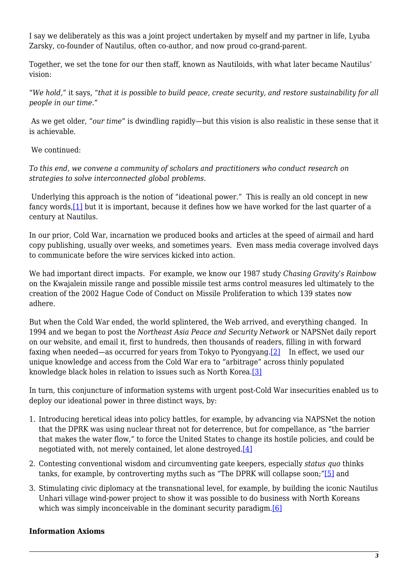I say we deliberately as this was a joint project undertaken by myself and my partner in life, Lyuba Zarsky, co-founder of Nautilus, often co-author, and now proud co-grand-parent.

Together, we set the tone for our then staff, known as Nautiloids, with what later became Nautilus' vision:

"*We hold,"* it says, "*that it is possible to build peace, create security, and restore sustainability for all people in our time."*

As we get older, "*our time*" is dwindling rapidly—but this vision is also realistic in these sense that it is achievable.

We continued:

*To this end, we convene a community of scholars and practitioners who conduct research on strategies to solve interconnected global problems.*

<span id="page-2-0"></span>Underlying this approach is the notion of "ideational power." This is really an old concept in new fancy words[,\[1\]](#page-5-0) but it is important, because it defines how we have worked for the last quarter of a century at Nautilus.

In our prior, Cold War, incarnation we produced books and articles at the speed of airmail and hard copy publishing, usually over weeks, and sometimes years. Even mass media coverage involved days to communicate before the wire services kicked into action.

We had important direct impacts. For example, we know our 1987 study *Chasing Gravity's Rainbow* on the Kwajalein missile range and possible missile test arms control measures led ultimately to the creation of the 2002 Hague Code of Conduct on Missile Proliferation to which 139 states now adhere.

<span id="page-2-1"></span>But when the Cold War ended, the world splintered, the Web arrived, and everything changed. In 1994 and we began to post the *Northeast Asia Peace and Security Network* or NAPSNet daily report on our website, and email it, first to hundreds, then thousands of readers, filling in with forward faxing when needed—as occurred for years from Tokyo to Pyongyang.<sup>[2]</sup> In effect, we used our unique knowledge and access from the Cold War era to "arbitrage" across thinly populated knowledge black holes in relation to issues such as North Korea.[\[3\]](#page-5-2)

<span id="page-2-2"></span>In turn, this conjuncture of information systems with urgent post-Cold War insecurities enabled us to deploy our ideational power in three distinct ways, by:

- 1. Introducing heretical ideas into policy battles, for example, by advancing via NAPSNet the notion that the DPRK was using nuclear threat not for deterrence, but for compellance, as "the barrier that makes the water flow," to force the United States to change its hostile policies, and could be negotiated with, not merely contained, let alone destroyed[.\[4\]](#page-6-0)
- <span id="page-2-4"></span><span id="page-2-3"></span>2. Contesting conventional wisdom and circumventing gate keepers, especially *status quo* thinks tanks, for example, by controverting myths such as "The DPRK will collapse soon;"[\[5\]](#page-6-1) and
- <span id="page-2-5"></span>3. Stimulating civic diplomacy at the transnational level, for example, by building the iconic Nautilus Unhari village wind-power project to show it was possible to do business with North Koreans which was simply inconceivable in the dominant security paradigm.<sup>[\[6\]](#page-6-2)</sup>

#### <span id="page-2-6"></span>**Information Axioms**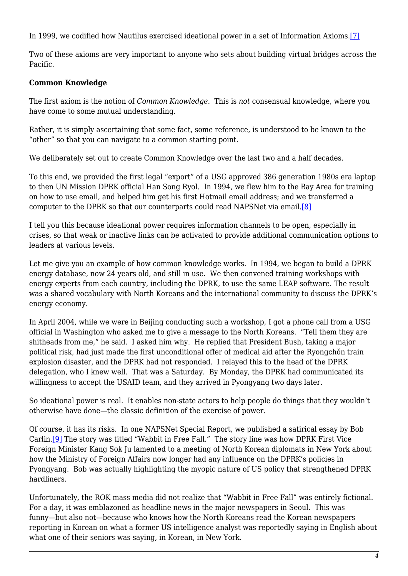In 1999, we codified how Nautilus exercised ideational power in a set of Information Axioms.[\[7\]](#page-6-3)

Two of these axioms are very important to anyone who sets about building virtual bridges across the Pacific.

#### **Common Knowledge**

The first axiom is the notion of *Common Knowledge*. This is *not* consensual knowledge, where you have come to some mutual understanding.

Rather, it is simply ascertaining that some fact, some reference, is understood to be known to the "other" so that you can navigate to a common starting point.

We deliberately set out to create Common Knowledge over the last two and a half decades.

To this end, we provided the first legal "export" of a USG approved 386 generation 1980s era laptop to then UN Mission DPRK official Han Song Ryol. In 1994, we flew him to the Bay Area for training on how to use email, and helped him get his first Hotmail email address; and we transferred a computer to the DPRK so that our counterparts could read NAPSNet via email[.\[8\]](#page-6-4)

<span id="page-3-0"></span>I tell you this because ideational power requires information channels to be open, especially in crises, so that weak or inactive links can be activated to provide additional communication options to leaders at various levels.

Let me give you an example of how common knowledge works. In 1994, we began to build a DPRK energy database, now 24 years old, and still in use. We then convened training workshops with energy experts from each country, including the DPRK, to use the same LEAP software. The result was a shared vocabulary with North Koreans and the international community to discuss the DPRK's energy economy.

In April 2004, while we were in Beijing conducting such a workshop, I got a phone call from a USG official in Washington who asked me to give a message to the North Koreans. "Tell them they are shitheads from me," he said. I asked him why. He replied that President Bush, taking a major political risk, had just made the first unconditional offer of medical aid after the Ryongchŏn train explosion disaster, and the DPRK had not responded. I relayed this to the head of the DPRK delegation, who I knew well. That was a Saturday. By Monday, the DPRK had communicated its willingness to accept the USAID team, and they arrived in Pyongyang two days later.

So ideational power is real. It enables non-state actors to help people do things that they wouldn't otherwise have done—the classic definition of the exercise of power.

<span id="page-3-1"></span>Of course, it has its risks. In one NAPSNet Special Report, we published a satirical essay by Bob Carlin.[\[9\]](#page-6-5) The story was titled "Wabbit in Free Fall." The story line was how DPRK First Vice Foreign Minister Kang Sok Ju lamented to a meeting of North Korean diplomats in New York about how the Ministry of Foreign Affairs now longer had any influence on the DPRK's policies in Pyongyang. Bob was actually highlighting the myopic nature of US policy that strengthened DPRK hardliners.

Unfortunately, the ROK mass media did not realize that "Wabbit in Free Fall" was entirely fictional. For a day, it was emblazoned as headline news in the major newspapers in Seoul. This was funny—but also not—because who knows how the North Koreans read the Korean newspapers reporting in Korean on what a former US intelligence analyst was reportedly saying in English about what one of their seniors was saying, in Korean, in New York.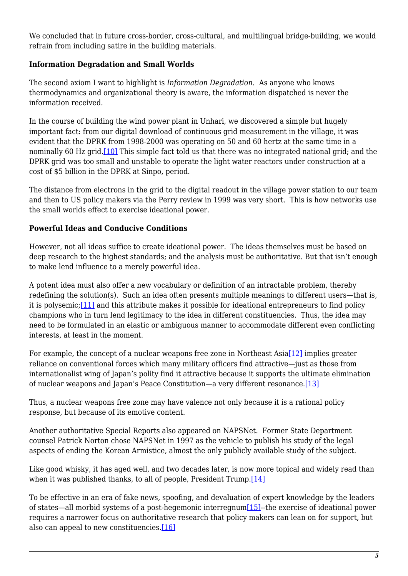We concluded that in future cross-border, cross-cultural, and multilingual bridge-building, we would refrain from including satire in the building materials.

#### **Information Degradation and Small Worlds**

The second axiom I want to highlight is *Information Degradation*. As anyone who knows thermodynamics and organizational theory is aware, the information dispatched is never the information received.

<span id="page-4-0"></span>In the course of building the wind power plant in Unhari, we discovered a simple but hugely important fact: from our digital download of continuous grid measurement in the village, it was evident that the DPRK from 1998-2000 was operating on 50 and 60 hertz at the same time in a nominally 60 Hz grid[.\[10\]](#page-6-6) This simple fact told us that there was no integrated national grid; and the DPRK grid was too small and unstable to operate the light water reactors under construction at a cost of \$5 billion in the DPRK at Sinpo, period.

The distance from electrons in the grid to the digital readout in the village power station to our team and then to US policy makers via the Perry review in 1999 was very short. This is how networks use the small worlds effect to exercise ideational power.

#### **Powerful Ideas and Conducive Conditions**

However, not all ideas suffice to create ideational power. The ideas themselves must be based on deep research to the highest standards; and the analysis must be authoritative. But that isn't enough to make lend influence to a merely powerful idea.

<span id="page-4-1"></span>A potent idea must also offer a new vocabulary or definition of an intractable problem, thereby redefining the solution(s). Such an idea often presents multiple meanings to different users—that is, it is polysemic;[\[11\]](#page-6-7) and this attribute makes it possible for ideational entrepreneurs to find policy champions who in turn lend legitimacy to the idea in different constituencies. Thus, the idea may need to be formulated in an elastic or ambiguous manner to accommodate different even conflicting interests, at least in the moment.

<span id="page-4-2"></span>For example, the concept of a nuclear weapons free zone in Northeast Asia<sup>[12]</sup> implies greater reliance on conventional forces which many military officers find attractive—just as those from internationalist wing of Japan's polity find it attractive because it supports the ultimate elimination of nuclear weapons and Japan's Peace Constitution—a very different resonance[.\[13\]](#page-6-9)

<span id="page-4-3"></span>Thus, a nuclear weapons free zone may have valence not only because it is a rational policy response, but because of its emotive content.

Another authoritative Special Reports also appeared on NAPSNet. Former State Department counsel Patrick Norton chose NAPSNet in 1997 as the vehicle to publish his study of the legal aspects of ending the Korean Armistice, almost the only publicly available study of the subject.

<span id="page-4-4"></span>Like good whisky, it has aged well, and two decades later, is now more topical and widely read than when it was published thanks, to all of people, President Trump.[\[14\]](#page-7-0)

<span id="page-4-6"></span><span id="page-4-5"></span>To be effective in an era of fake news, spoofing, and devaluation of expert knowledge by the leaders of states—all morbid systems of a post-hegemonic interregnu[m\[15\]-](#page-7-1)-the exercise of ideational power requires a narrower focus on authoritative research that policy makers can lean on for support, but also can appeal to new constituencies.[\[16\]](#page-7-2)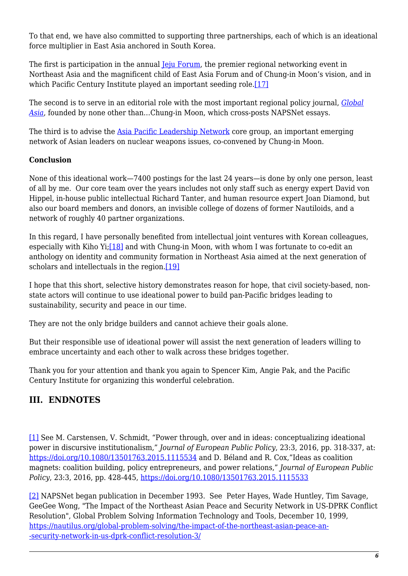To that end, we have also committed to supporting three partnerships, each of which is an ideational force multiplier in East Asia anchored in South Korea.

The first is participation in the annual <u>[Jeju Forum](http://www.jejuforum.or.kr/index.php?aa=1)</u>, the premier regional networking event in Northeast Asia and the magnificent child of East Asia Forum and of Chung-in Moon's vision, and in which Pacific Century Institute played an important seeding role.[\[17\]](#page-7-3)

<span id="page-5-3"></span>The second is to serve in an editorial role with the most important regional policy journal, *[Global](https://www.globalasia.org/) [Asia](https://www.globalasia.org/)*, founded by none other than…Chung-in Moon, which cross-posts NAPSNet essays.

The third is to advise the [Asia Pacific Leadership Network](https://www.facebook.com/asiapacificleadershipnetwork/) core group, an important emerging network of Asian leaders on nuclear weapons issues, co-convened by Chung-in Moon.

#### **Conclusion**

None of this ideational work—7400 postings for the last 24 years—is done by only one person, least of all by me. Our core team over the years includes not only staff such as energy expert David von Hippel, in-house public intellectual Richard Tanter, and human resource expert Joan Diamond, but also our board members and donors, an invisible college of dozens of former Nautiloids, and a network of roughly 40 partner organizations.

<span id="page-5-4"></span>In this regard, I have personally benefited from intellectual joint ventures with Korean colleagues, especially with Kiho Yi;[\[18\]](#page-7-4) and with Chung-in Moon, with whom I was fortunate to co-edit an anthology on identity and community formation in Northeast Asia aimed at the next generation of scholars and intellectuals in the region.[\[19\]](#page-7-5)

<span id="page-5-5"></span>I hope that this short, selective history demonstrates reason for hope, that civil society-based, nonstate actors will continue to use ideational power to build pan-Pacific bridges leading to sustainability, security and peace in our time.

They are not the only bridge builders and cannot achieve their goals alone.

But their responsible use of ideational power will assist the next generation of leaders willing to embrace uncertainty and each other to walk across these bridges together.

Thank you for your attention and thank you again to Spencer Kim, Angie Pak, and the Pacific Century Institute for organizing this wonderful celebration.

# **III. ENDNOTES**

<span id="page-5-0"></span>[\[1\]](#page-2-0) See M. Carstensen, V. Schmidt, "Power through, over and in ideas: conceptualizing ideational power in discursive institutionalism," *Journal of European Public Policy*, 23:3, 2016, pp. 318-337, at: <https://doi.org/10.1080/13501763.2015.1115534> and D. Béland and R. Cox,"Ideas as coalition magnets: coalition building, policy entrepreneurs, and power relations," *Journal of European Public Policy*, 23:3, 2016, pp. 428-445,<https://doi.org/10.1080/13501763.2015.1115533>

<span id="page-5-2"></span><span id="page-5-1"></span>[\[2\]](#page-2-1) NAPSNet began publication in December 1993. See Peter Hayes, Wade Huntley, Tim Savage, GeeGee Wong, "The Impact of the Northeast Asian Peace and Security Network in US-DPRK Conflict Resolution", Global Problem Solving Information Technology and Tools, December 10, 1999, [https://nautilus.org/global-problem-solving/the-impact-of-the-northeast-asian-peace-an-](https://nautilus.org/global-problem-solving/the-impact-of-the-northeast-asian-peace-and-security-network-in-us-dprk-conflict-resolution-3/) [-security-network-in-us-dprk-conflict-resolution-3/](https://nautilus.org/global-problem-solving/the-impact-of-the-northeast-asian-peace-and-security-network-in-us-dprk-conflict-resolution-3/)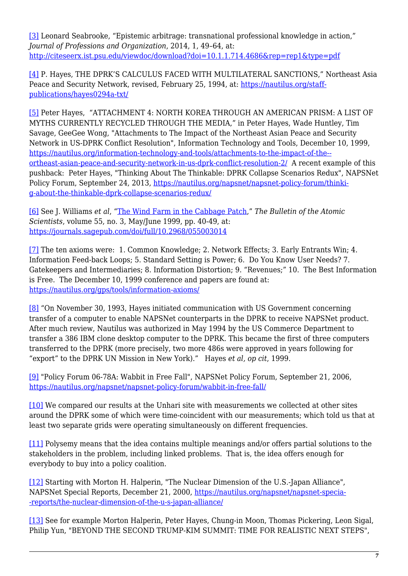[\[3\]](#page-2-2) Leonard Seabrooke, "Epistemic arbitrage: transnational professional knowledge in action," *Journal of Professions and Organization*, 2014, 1, 49–64, at: <http://citeseerx.ist.psu.edu/viewdoc/download?doi=10.1.1.714.4686&rep=rep1&type=pdf>

<span id="page-6-0"></span>[\[4\]](#page-2-3) P. Hayes, THE DPRK'S CALCULUS FACED WITH MULTILATERAL SANCTIONS," Northeast Asia Peace and Security Network, revised, February 25, 1994, at: [https://nautilus.org/staff](https://nautilus.org/staff-publications/hayes0294a-txt/)[publications/hayes0294a-txt/](https://nautilus.org/staff-publications/hayes0294a-txt/)

<span id="page-6-1"></span>[\[5\]](#page-2-4) Peter Hayes, "ATTACHMENT 4: NORTH KOREA THROUGH AN AMERICAN PRISM: A LIST OF MYTHS CURRENTLY RECYCLED THROUGH THE MEDIA," in Peter Hayes, Wade Huntley, Tim Savage, GeeGee Wong, "Attachments to The Impact of the Northeast Asian Peace and Security Network in US-DPRK Conflict Resolution", Information Technology and Tools, December 10, 1999, [https://nautilus.org/information-technology-and-tools/attachments-to-the-impact-of-the-](https://nautilus.org/information-technology-and-tools/attachments-to-the-impact-of-the-northeast-asian-peace-and-security-network-in-us-dprk-conflict-resolution-2/) [ortheast-asian-peace-and-security-network-in-us-dprk-conflict-resolution-2/](https://nautilus.org/information-technology-and-tools/attachments-to-the-impact-of-the-northeast-asian-peace-and-security-network-in-us-dprk-conflict-resolution-2/) A recent example of this pushback: Peter Hayes, "Thinking About The Thinkable: DPRK Collapse Scenarios Redux", NAPSNet Policy Forum, September 24, 2013, [https://nautilus.org/napsnet/napsnet-policy-forum/thinki](https://nautilus.org/napsnet/napsnet-policy-forum/thinking-about-the-thinkable-dprk-collapse-scenarios-redux/)[g-about-the-thinkable-dprk-collapse-scenarios-redux/](https://nautilus.org/napsnet/napsnet-policy-forum/thinking-about-the-thinkable-dprk-collapse-scenarios-redux/)

<span id="page-6-2"></span>[\[6\]](#page-2-5) See J. Williams *et al*, ["The Wind Farm in the Cabbage Patch](http://bos.sagepub.com/content/55/3/40.full)," *The Bulletin of the Atomic Scientists*, volume 55, no. 3, May/June 1999, pp. 40-49, at: <https://journals.sagepub.com/doi/full/10.2968/055003014>

<span id="page-6-3"></span>[\[7\]](#page-2-6) The ten axioms were: 1. Common Knowledge; 2. Network Effects; 3. Early Entrants Win; 4. Information Feed-back Loops; 5. Standard Setting is Power; 6. Do You Know User Needs? 7. Gatekeepers and Intermediaries; 8. Information Distortion; 9. "Revenues;" 10. The Best Information is Free. The December 10, 1999 conference and papers are found at: <https://nautilus.org/gps/tools/information-axioms/>

<span id="page-6-4"></span>[\[8\]](#page-3-0) "On November 30, 1993, Hayes initiated communication with US Government concerning transfer of a computer to enable NAPSNet counterparts in the DPRK to receive NAPSNet product. After much review, Nautilus was authorized in May 1994 by the US Commerce Department to transfer a 386 IBM clone desktop computer to the DPRK. This became the first of three computers transferred to the DPRK (more precisely, two more 486s were approved in years following for "export" to the DPRK UN Mission in New York)." Hayes *et al, op cit*, 1999.

<span id="page-6-5"></span>[\[9\]](#page-3-1) "Policy Forum 06-78A: Wabbit in Free Fall", NAPSNet Policy Forum, September 21, 2006, <https://nautilus.org/napsnet/napsnet-policy-forum/wabbit-in-free-fall/>

<span id="page-6-6"></span>[\[10\]](#page-4-0) We compared our results at the Unhari site with measurements we collected at other sites around the DPRK some of which were time-coincident with our measurements; which told us that at least two separate grids were operating simultaneously on different frequencies.

<span id="page-6-7"></span>[\[11\]](#page-4-1) Polysemy means that the idea contains multiple meanings and/or offers partial solutions to the stakeholders in the problem, including linked problems. That is, the idea offers enough for everybody to buy into a policy coalition.

<span id="page-6-8"></span>[\[12\]](#page-4-2) Starting with Morton H. Halperin, "The Nuclear Dimension of the U.S.-Japan Alliance", NAPSNet Special Reports, December 21, 2000, [https://nautilus.org/napsnet/napsnet-specia-](https://nautilus.org/napsnet/napsnet-special-reports/the-nuclear-dimension-of-the-u-s-japan-alliance/) [-reports/the-nuclear-dimension-of-the-u-s-japan-alliance/](https://nautilus.org/napsnet/napsnet-special-reports/the-nuclear-dimension-of-the-u-s-japan-alliance/)

<span id="page-6-9"></span>[\[13\]](#page-4-3) See for example Morton Halperin, Peter Hayes, Chung-in Moon, Thomas Pickering, Leon Sigal, Philip Yun, "BEYOND THE SECOND TRUMP-KIM SUMMIT: TIME FOR REALISTIC NEXT STEPS",